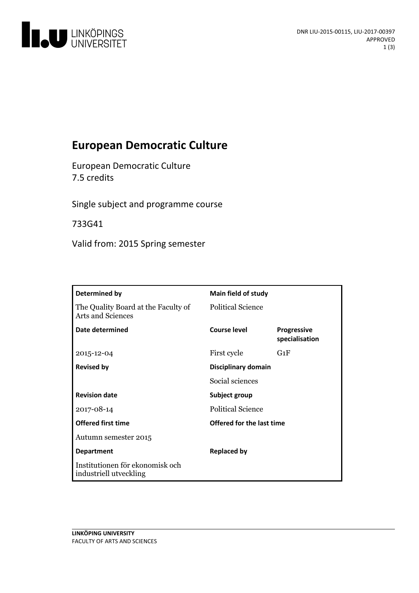

# **European Democratic Culture**

European Democratic Culture 7.5 credits

Single subject and programme course

733G41

Valid from: 2015 Spring semester

| Determined by                                             | <b>Main field of study</b> |                                      |
|-----------------------------------------------------------|----------------------------|--------------------------------------|
| The Quality Board at the Faculty of<br>Arts and Sciences  | Political Science          |                                      |
| Date determined                                           | Course level               | <b>Progressive</b><br>specialisation |
| 2015-12-04                                                | First cycle                | $G_1F$                               |
| <b>Revised by</b>                                         | Disciplinary domain        |                                      |
|                                                           | Social sciences            |                                      |
| <b>Revision date</b>                                      | Subject group              |                                      |
| 2017-08-14                                                | <b>Political Science</b>   |                                      |
| <b>Offered first time</b>                                 | Offered for the last time  |                                      |
| Autumn semester 2015                                      |                            |                                      |
| <b>Department</b>                                         | <b>Replaced by</b>         |                                      |
| Institutionen för ekonomisk och<br>industriell utveckling |                            |                                      |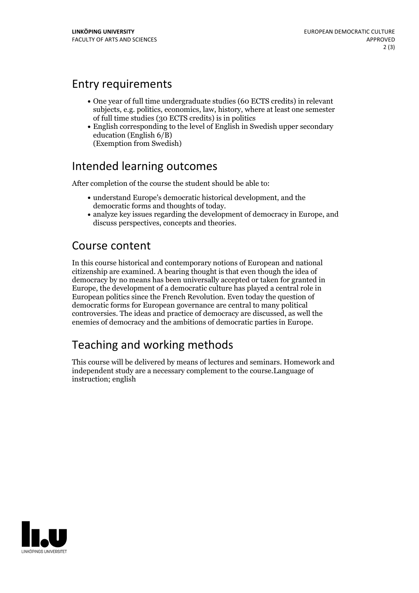### Entry requirements

- One year of full time undergraduate studies (60 ECTS credits) in relevant subjects, e.g. politics, economics, law, history, where at least one semester of full time studies (30 ECTS credits) is in politics
- English corresponding to the level of English in Swedish upper secondary education (English 6/B) (Exemption from Swedish)

### Intended learning outcomes

After completion of the course the student should be able to:

- understand Europe's democratic historical development, and the
- analyze key issues regarding the development of democracy in Europe, and discuss perspectives, concepts and theories.

### Course content

In this course historical and contemporary notions of European and national citizenship are examined. A bearing thought is that even though the idea of democracy by no means has been universally accepted or taken for granted in Europe, the development of a democratic culture has played a central role in European politics since the French Revolution. Even today the question of democratic forms for European governance are central to many political controversies. The ideas and practice of democracy are discussed, as well the enemies of democracy and the ambitions of democratic parties in Europe.

## Teaching and working methods

This course will be delivered by means of lectures and seminars. Homework and independent study are a necessary complement to the course.Language of instruction; english